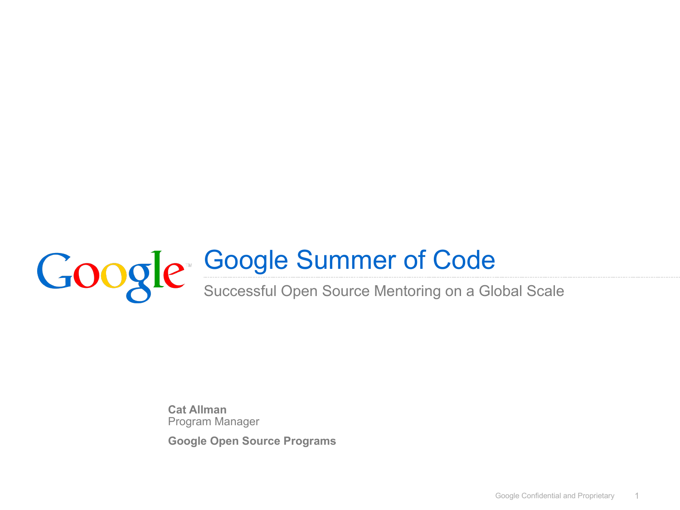

**Cat Allman** Program Manager

**Google Open Source Programs**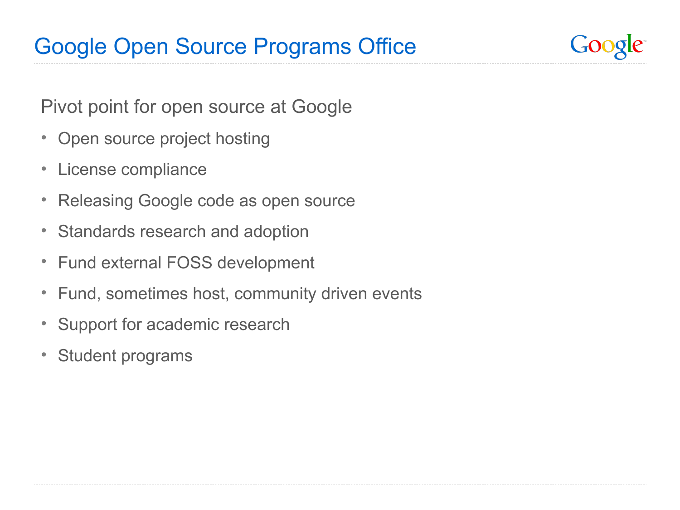Google

Pivot point for open source at Google

- Open source project hosting
- License compliance
- Releasing Google code as open source
- Standards research and adoption
- Fund external FOSS development
- Fund, sometimes host, community driven events
- Support for academic research
- Student programs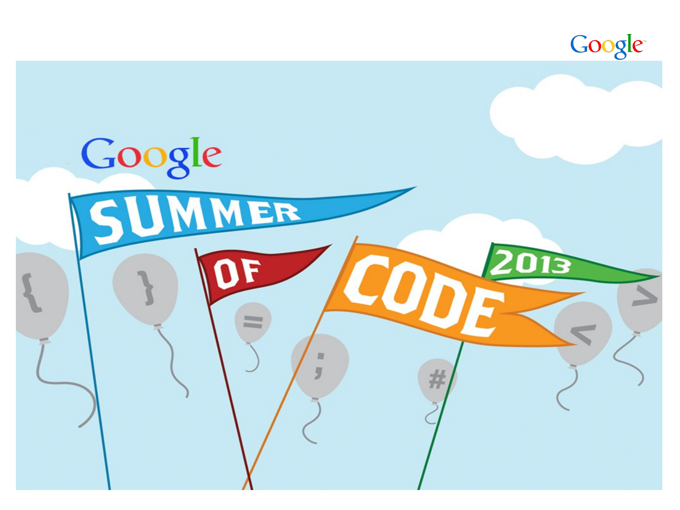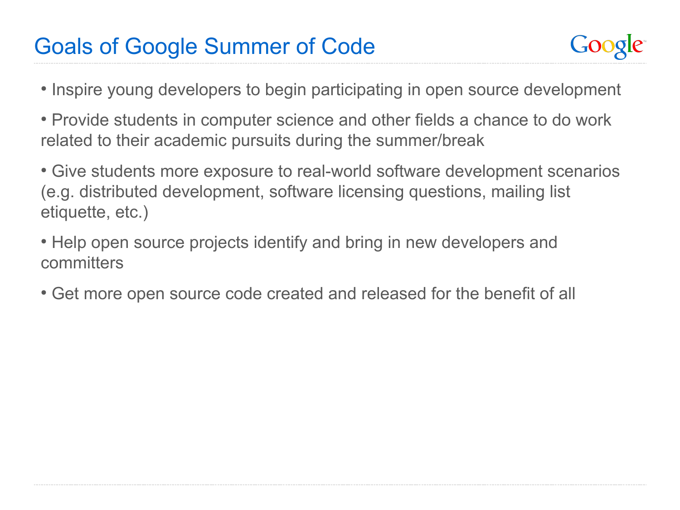#### Goals of Google Summer of Code



- Inspire young developers to begin participating in open source development
- Provide students in computer science and other fields a chance to do work related to their academic pursuits during the summer/break
- Give students more exposure to real-world software development scenarios (e.g. distributed development, software licensing questions, mailing list etiquette, etc.)
- Help open source projects identify and bring in new developers and committers
- Get more open source code created and released for the benefit of all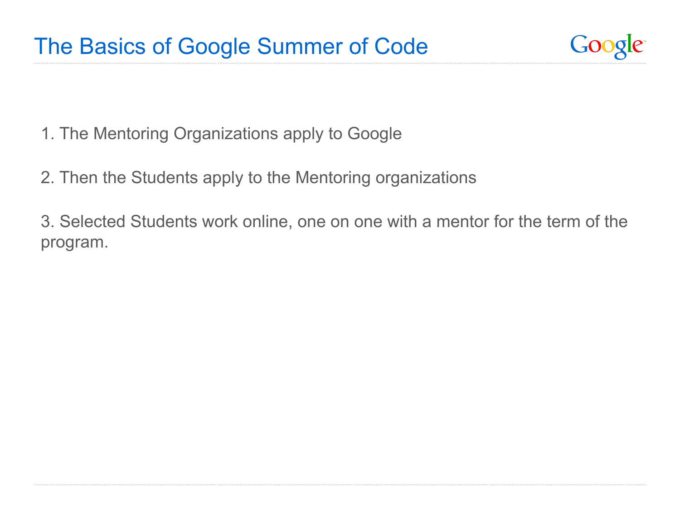

- 1. The Mentoring Organizations apply to Google
- 2. Then the Students apply to the Mentoring organizations

3. Selected Students work online, one on one with a mentor for the term of the program.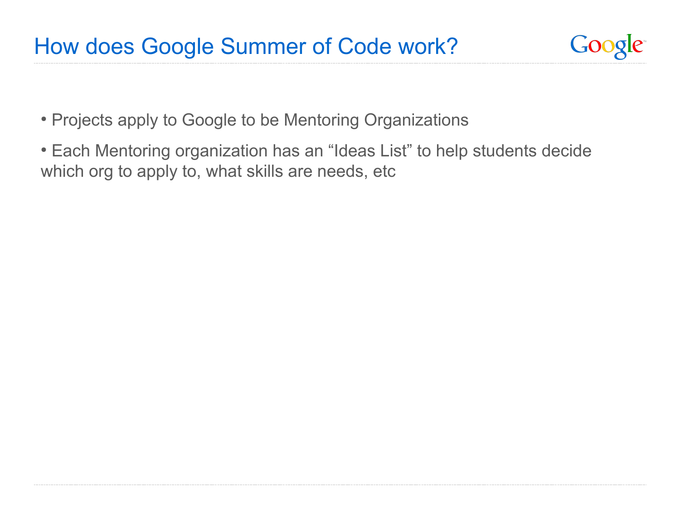

- Projects apply to Google to be Mentoring Organizations
- Each Mentoring organization has an "Ideas List" to help students decide which org to apply to, what skills are needs, etc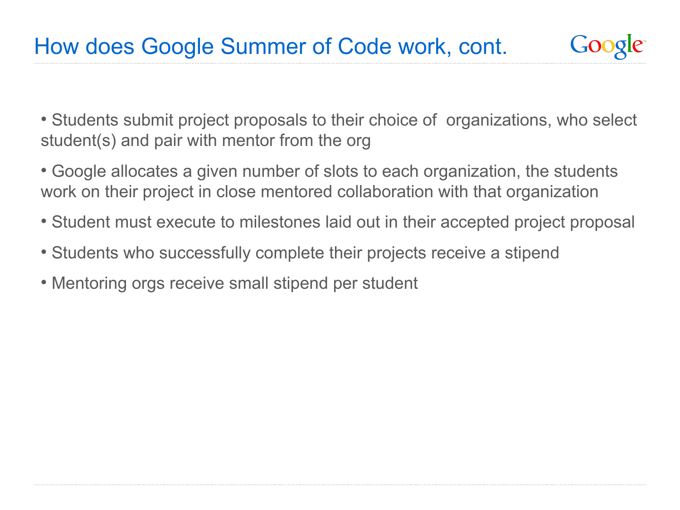Google

• Students submit project proposals to their choice of organizations, who select student(s) and pair with mentor from the org

- Google allocates a given number of slots to each organization, the students work on their project in close mentored collaboration with that organization
- Student must execute to milestones laid out in their accepted project proposal
- Students who successfully complete their projects receive a stipend
- Mentoring orgs receive small stipend per student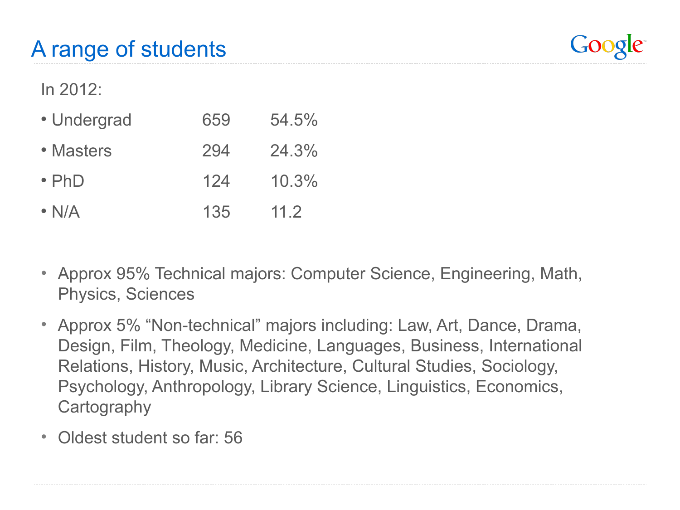

In 2012:

- Undergrad 659 54.5% • Masters 294 24.3%  $\cdot$  PhD  $124$   $10.3\%$
- N/A 135 11.2
- Approx 95% Technical majors: Computer Science, Engineering, Math, Physics, Sciences
- Approx 5% "Non-technical" majors including: Law, Art, Dance, Drama, Design, Film, Theology, Medicine, Languages, Business, International Relations, History, Music, Architecture, Cultural Studies, Sociology, Psychology, Anthropology, Library Science, Linguistics, Economics, **Cartography**
- Oldest student so far: 56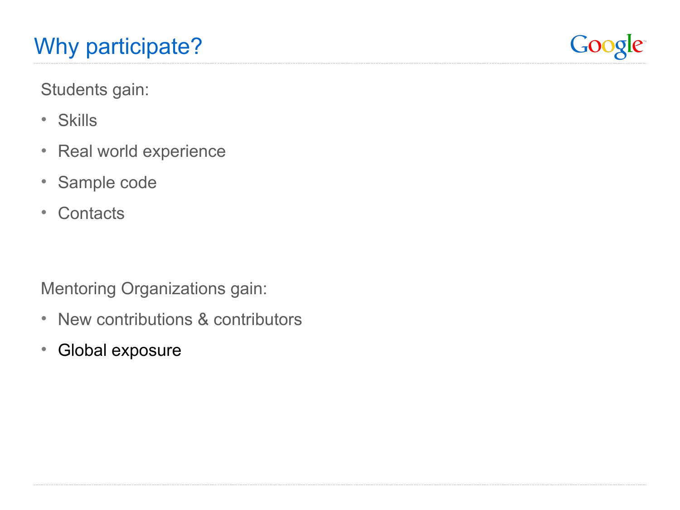

Students gain:

- Skills
- Real world experience
- Sample code
- Contacts

Mentoring Organizations gain:

- New contributions & contributors
- Global exposure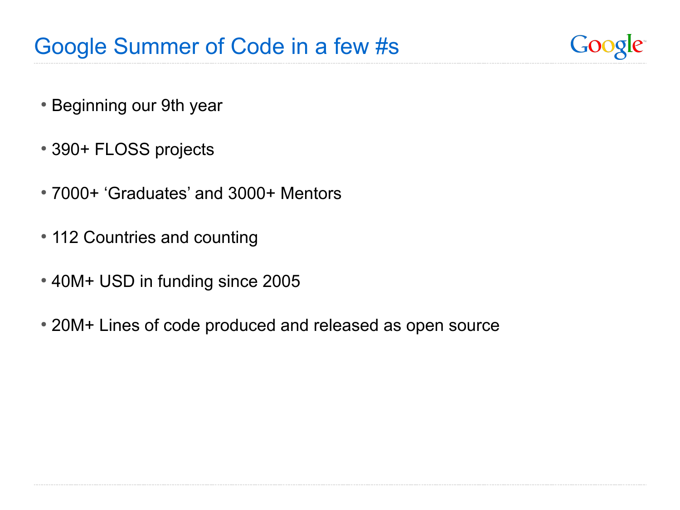Google

- Beginning our 9th year
- 390+ FLOSS projects
- 7000+ 'Graduates' and 3000+ Mentors
- 112 Countries and counting
- 40M+ USD in funding since 2005
- 20M+ Lines of code produced and released as open source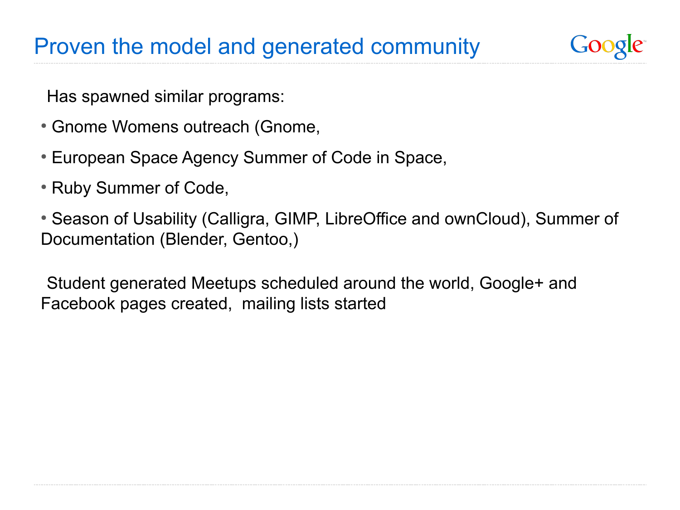### Proven the model and generated community

Has spawned similar programs:

- Gnome Womens outreach (Gnome,
- European Space Agency Summer of Code in Space,
- Ruby Summer of Code,
- Season of Usability (Calligra, GIMP, LibreOffice and ownCloud), Summer of Documentation (Blender, Gentoo,)

GO0

Student generated Meetups scheduled around the world, Google+ and Facebook pages created, mailing lists started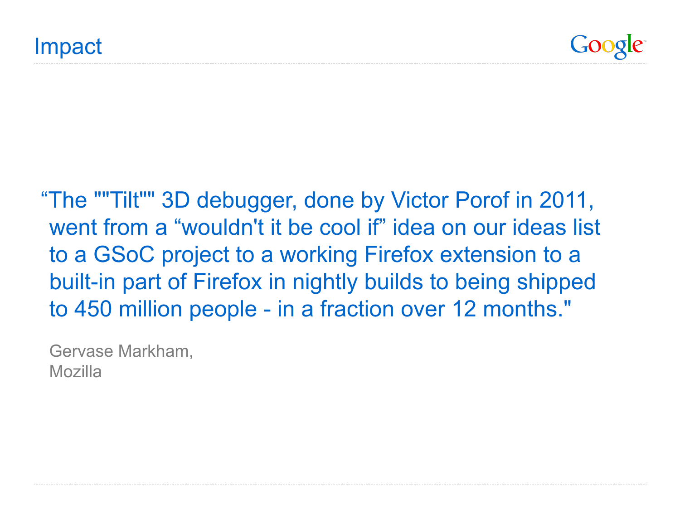"The ""Tilt"" 3D debugger, done by Victor Porof in 2011, went from a "wouldn't it be cool if" idea on our ideas list to a GSoC project to a working Firefox extension to a built-in part of Firefox in nightly builds to being shipped to 450 million people - in a fraction over 12 months."

Gervase Markham, Mozilla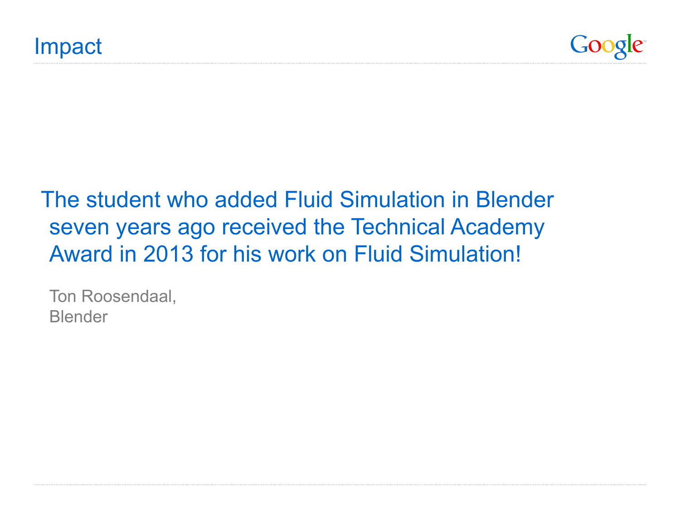

## The student who added Fluid Simulation in Blender seven years ago received the Technical Academy Award in 2013 for his work on Fluid Simulation!

Ton Roosendaal, Blender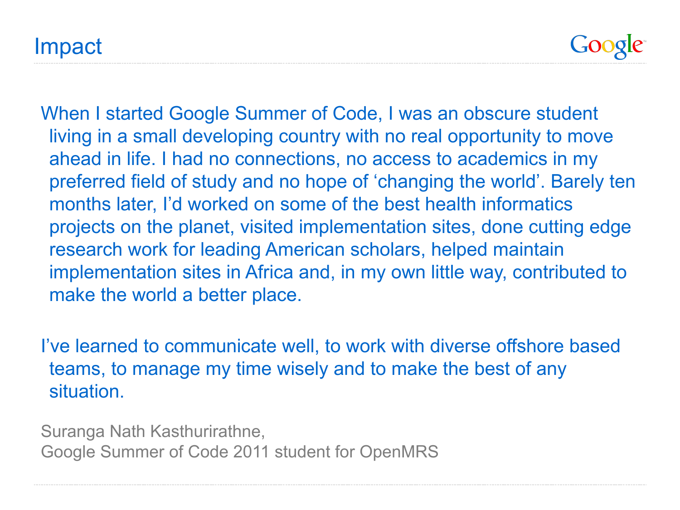Impact

Google

When I started Google Summer of Code, I was an obscure student living in a small developing country with no real opportunity to move ahead in life. I had no connections, no access to academics in my preferred field of study and no hope of 'changing the world'. Barely ten months later, I'd worked on some of the best health informatics projects on the planet, visited implementation sites, done cutting edge research work for leading American scholars, helped maintain implementation sites in Africa and, in my own little way, contributed to make the world a better place.

I've learned to communicate well, to work with diverse offshore based teams, to manage my time wisely and to make the best of any situation.

Suranga Nath Kasthurirathne, Google Summer of Code 2011 student for OpenMRS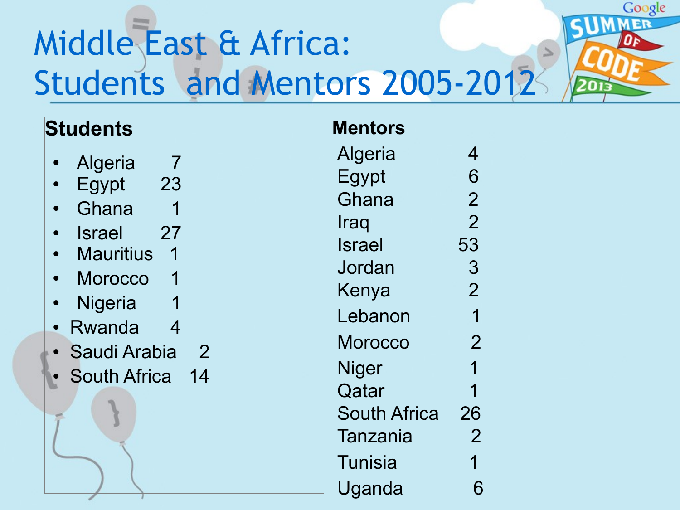# Middle East & Africa: Students and Mentors 2005-2012

# **Students** Algeria 7 Egypt 23 • Ghana 1 • Israel 27 • Mauritius 1 • Morocco 1 • Nigeria 1 Rwanda 4 • Saudi Arabia 2 **South Africa** 14 **Mentors**

| <b>Mentors</b>      |                |
|---------------------|----------------|
| Algeria             | 4              |
| Egypt               | 6              |
| Ghana               | $\overline{2}$ |
| Iraq                | $\overline{2}$ |
| Israel              | 53             |
| Jordan              | 3              |
| Kenya               | $\overline{2}$ |
| Lebanon             | 1              |
| Morocco             | $\overline{2}$ |
| Niger               | 1              |
| Qatar               | 1              |
| <b>South Africa</b> | 26             |
| <b>Tanzania</b>     | $\overline{2}$ |
| Tunisia             | 1              |
| Uganda              | 6              |

Google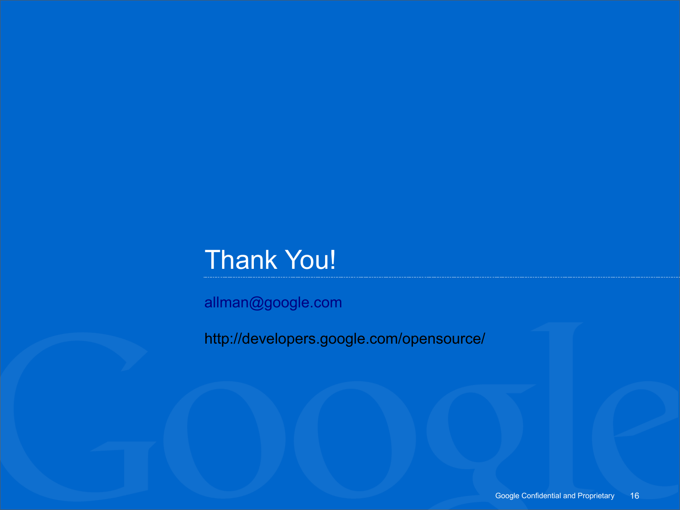## Thank You!

[allman@google.com](mailto:allman@google.com)

http://developers.google.com/opensource/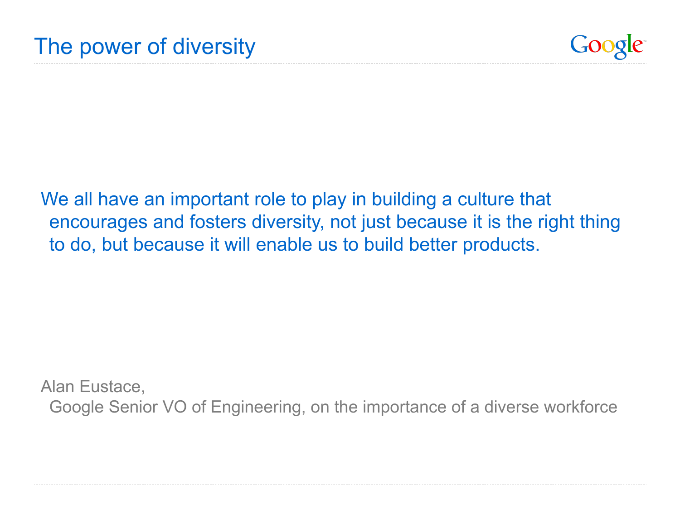

We all have an important role to play in building a culture that encourages and fosters diversity, not just because it is the right thing to do, but because it will enable us to build better products.

Alan Eustace, Google Senior VO of Engineering, on the importance of a diverse workforce